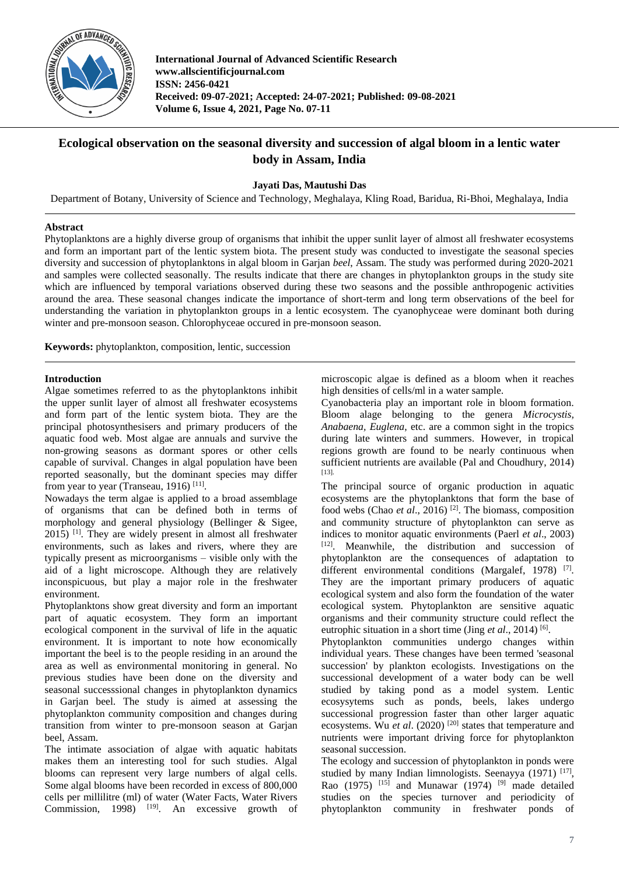

**International Journal of Advanced Scientific Research www.allscientificjournal.com ISSN: 2456-0421 Received: 09-07-2021; Accepted: 24-07-2021; Published: 09-08-2021 Volume 6, Issue 4, 2021, Page No. 07-11**

# **Ecological observation on the seasonal diversity and succession of algal bloom in a lentic water body in Assam, India**

**Jayati Das, Mautushi Das**

Department of Botany, University of Science and Technology, Meghalaya, Kling Road, Baridua, Ri-Bhoi, Meghalaya, India

# **Abstract**

Phytoplanktons are a highly diverse group of organisms that inhibit the upper sunlit layer of almost all freshwater ecosystems and form an important part of the lentic system biota. The present study was conducted to investigate the seasonal species diversity and succession of phytoplanktons in algal bloom in Garjan *beel*, Assam. The study was performed during 2020-2021 and samples were collected seasonally. The results indicate that there are changes in phytoplankton groups in the study site which are influenced by temporal variations observed during these two seasons and the possible anthropogenic activities around the area. These seasonal changes indicate the importance of short-term and long term observations of the beel for understanding the variation in phytoplankton groups in a lentic ecosystem. The cyanophyceae were dominant both during winter and pre-monsoon season. Chlorophyceae occured in pre-monsoon season.

**Keywords:** phytoplankton, composition, lentic, succession

# **Introduction**

Algae sometimes referred to as the phytoplanktons inhibit the upper sunlit layer of almost all freshwater ecosystems and form part of the lentic system biota. They are the principal photosynthesisers and primary producers of the aquatic food web. Most algae are annuals and survive the non-growing seasons as dormant spores or other cells capable of survival. Changes in algal population have been reported seasonally, but the dominant species may differ from year to year (Transeau,  $1916$ )<sup>[11]</sup>.

Nowadays the term algae is applied to a broad assemblage of organisms that can be defined both in terms of morphology and general physiology (Bellinger & Sigee,  $2015$ ) <sup>[1]</sup>. They are widely present in almost all freshwater environments, such as lakes and rivers, where they are typically present as microorganisms – visible only with the aid of a light microscope. Although they are relatively inconspicuous, but play a major role in the freshwater environment.

Phytoplanktons show great diversity and form an important part of aquatic ecosystem. They form an important ecological component in the survival of life in the aquatic environment. It is important to note how economically important the beel is to the people residing in an around the area as well as environmental monitoring in general. No previous studies have been done on the diversity and seasonal successsional changes in phytoplankton dynamics in Garjan beel. The study is aimed at assessing the phytoplankton community composition and changes during transition from winter to pre-monsoon season at Garjan beel, Assam.

The intimate association of algae with aquatic habitats makes them an interesting tool for such studies. Algal blooms can represent very large numbers of algal cells. Some algal blooms have been recorded in excess of 800,000 cells per millilitre (ml) of water (Water Facts, Water Rivers Commission, 1998)  $[19]$ . An excessive growth of

microscopic algae is defined as a bloom when it reaches high densities of cells/ml in a water sample.

Cyanobacteria play an important role in bloom formation. Bloom alage belonging to the genera *Microcystis, Anabaena, Euglena*, etc. are a common sight in the tropics during late winters and summers. However, in tropical regions growth are found to be nearly continuous when sufficient nutrients are available (Pal and Choudhury, 2014) [13].

The principal source of organic production in aquatic ecosystems are the phytoplanktons that form the base of food webs (Chao *et al*., 2016) [2]. The biomass, composition and community structure of phytoplankton can serve as indices to monitor aquatic environments (Paerl *et al*., 2003)  $[12]$ . Meanwhile, the distribution and succession of phytoplankton are the consequences of adaptation to different environmental conditions (Margalef, 1978)<sup>[7]</sup>. They are the important primary producers of aquatic ecological system and also form the foundation of the water ecological system. Phytoplankton are sensitive aquatic organisms and their community structure could reflect the eutrophic situation in a short time (Jing *et al.*, 2014)<sup>[6]</sup>.

Phytoplankton communities undergo changes within individual years. These changes have been termed 'seasonal succession' by plankton ecologists. Investigations on the successional development of a water body can be well studied by taking pond as a model system. Lentic ecosysytems such as ponds, beels, lakes undergo successional progression faster than other larger aquatic ecosystems. Wu *et al.* (2020)<sup>[20]</sup> states that temperature and nutrients were important driving force for phytoplankton seasonal succession.

The ecology and succession of phytoplankton in ponds were studied by many Indian limnologists. Seenayya (1971) [17], Rao (1975)  $^{[15]}$  and Munawar (1974) <sup>[9]</sup> made detailed studies on the species turnover and periodicity of phytoplankton community in freshwater ponds of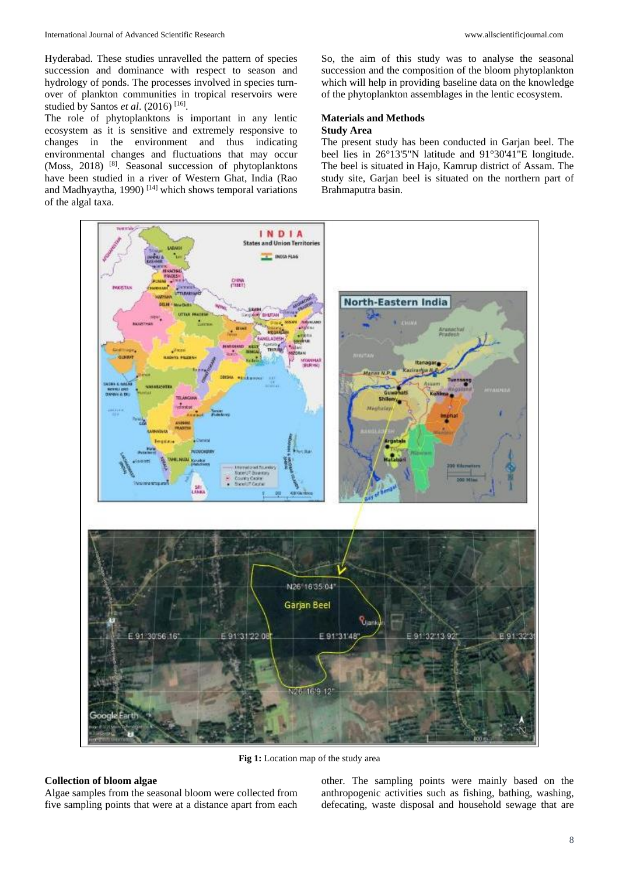Hyderabad. These studies unravelled the pattern of species succession and dominance with respect to season and hydrology of ponds. The processes involved in species turnover of plankton communities in tropical reservoirs were studied by Santos *et al.* (2016)<sup>[16]</sup>.

The role of phytoplanktons is important in any lentic ecosystem as it is sensitive and extremely responsive to changes in the environment and thus indicating environmental changes and fluctuations that may occur (Moss, 2018) [8]. Seasonal succession of phytoplanktons have been studied in a river of Western Ghat, India (Rao and Madhyaytha, 1990)  $[14]$  which shows temporal variations of the algal taxa.

So, the aim of this study was to analyse the seasonal succession and the composition of the bloom phytoplankton which will help in providing baseline data on the knowledge of the phytoplankton assemblages in the lentic ecosystem.

# **Materials and Methods Study Area**

The present study has been conducted in Garjan beel. The beel lies in 26°13'5"N latitude and 91°30'41"E longitude. The beel is situated in Hajo, Kamrup district of Assam. The study site, Garjan beel is situated on the northern part of Brahmaputra basin.



**Fig 1:** Location map of the study area

#### **Collection of bloom algae**

Algae samples from the seasonal bloom were collected from five sampling points that were at a distance apart from each other. The sampling points were mainly based on the anthropogenic activities such as fishing, bathing, washing, defecating, waste disposal and household sewage that are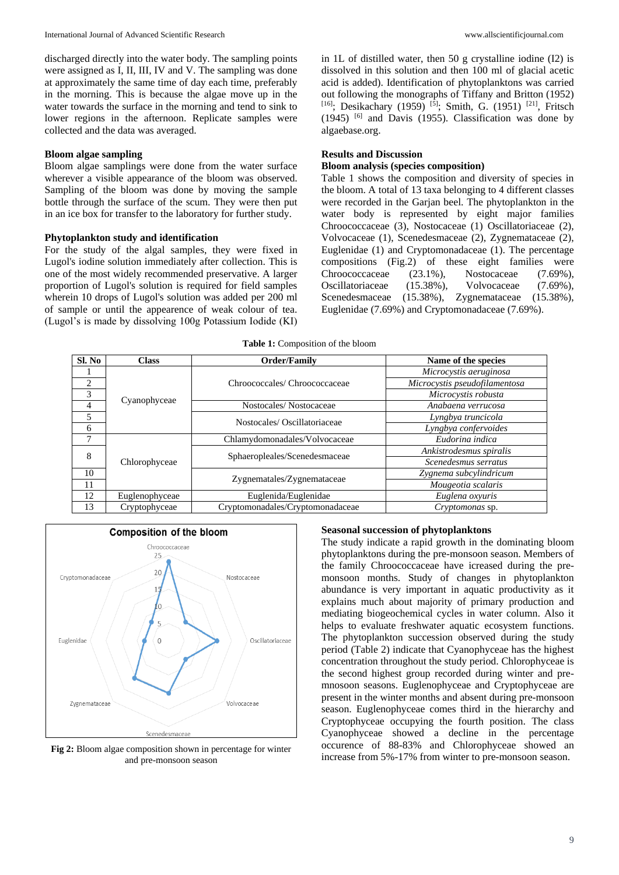discharged directly into the water body. The sampling points were assigned as I, II, III, IV and V. The sampling was done at approximately the same time of day each time, preferably in the morning. This is because the algae move up in the water towards the surface in the morning and tend to sink to lower regions in the afternoon. Replicate samples were collected and the data was averaged.

#### **Bloom algae sampling**

Bloom algae samplings were done from the water surface wherever a visible appearance of the bloom was observed. Sampling of the bloom was done by moving the sample bottle through the surface of the scum. They were then put in an ice box for transfer to the laboratory for further study.

#### **Phytoplankton study and identification**

For the study of the algal samples, they were fixed in Lugol's iodine solution immediately after collection. This is one of the most widely recommended preservative. A larger proportion of Lugol's solution is required for field samples wherein 10 drops of Lugol's solution was added per 200 ml of sample or until the appearence of weak colour of tea. (Lugol's is made by dissolving 100g Potassium Iodide (KI)

in 1L of distilled water, then 50 g crystalline iodine (I2) is dissolved in this solution and then 100 ml of glacial acetic acid is added). Identification of phytoplanktons was carried out following the monographs of Tiffany and Britton (1952) [16]; Desikachary (1959) <sup>[5]</sup>; Smith, G. (1951) <sup>[21]</sup>, Fritsch  $(1945)$  [6] and Davis (1955). Classification was done by algaebase.org.

#### **Results and Discussion**

### **Bloom analysis (species composition)**

Table 1 shows the composition and diversity of species in the bloom. A total of 13 taxa belonging to 4 different classes were recorded in the Garjan beel. The phytoplankton in the water body is represented by eight major families Chroococcaceae (3), Nostocaceae (1) Oscillatoriaceae (2), Volvocaceae (1), Scenedesmaceae (2), Zygnemataceae (2), Euglenidae (1) and Cryptomonadaceae (1). The percentage compositions (Fig.2) of these eight families were Chroococcaceae (23.1%), Nostocaceae (7.69%), Oscillatoriaceae (15.38%), Volvocaceae (7.69%), Scenedesmaceae (15.38%), Zygnemataceae (15.38%), Euglenidae (7.69%) and Cryptomonadaceae (7.69%).

**Table 1:** Composition of the bloom

| Sl. No | <b>Class</b>   | Order/Family                     | Name of the species           |
|--------|----------------|----------------------------------|-------------------------------|
|        | Cyanophyceae   | Chroococcales/ Chroococcaceae    | Microcystis aeruginosa        |
| 2      |                |                                  | Microcystis pseudofilamentosa |
| 3      |                |                                  | Microcystis robusta           |
| 4      |                | Nostocales/Nostocaceae           | Anabaena verrucosa            |
| 5      |                | Nostocales/Oscillatoriaceae      | Lyngbya truncicola            |
| 6      |                |                                  | Lyngbya confervoides          |
| 7      | Chlorophyceae  | Chlamydomonadales/Volvocaceae    | Eudorina indica               |
| 8      |                | Sphaeropleales/Scenedesmaceae    | Ankistrodesmus spiralis       |
|        |                |                                  | Scenedesmus serratus          |
| 10     |                | Zygnematales/Zygnemataceae       | Zygnema subcylindricum        |
| 11     |                |                                  | Mougeotia scalaris            |
| 12     | Euglenophyceae | Euglenida/Euglenidae             | Euglena oxyuris               |
| 13     | Cryptophyceae  | Cryptomonadales/Cryptomonadaceae | Cryptomonas sp.               |



**Fig 2:** Bloom algae composition shown in percentage for winter and pre-monsoon season

#### **Seasonal succession of phytoplanktons**

The study indicate a rapid growth in the dominating bloom phytoplanktons during the pre-monsoon season. Members of the family Chroococcaceae have icreased during the premonsoon months. Study of changes in phytoplankton abundance is very important in aquatic productivity as it explains much about majority of primary production and mediating biogeochemical cycles in water column. Also it helps to evaluate freshwater aquatic ecosystem functions. The phytoplankton succession observed during the study period (Table 2) indicate that Cyanophyceae has the highest concentration throughout the study period. Chlorophyceae is the second highest group recorded during winter and premnosoon seasons. Euglenophyceae and Cryptophyceae are present in the winter months and absent during pre-monsoon season. Euglenophyceae comes third in the hierarchy and Cryptophyceae occupying the fourth position. The class Cyanophyceae showed a decline in the percentage occurence of 88-83% and Chlorophyceae showed an increase from 5%-17% from winter to pre-monsoon season.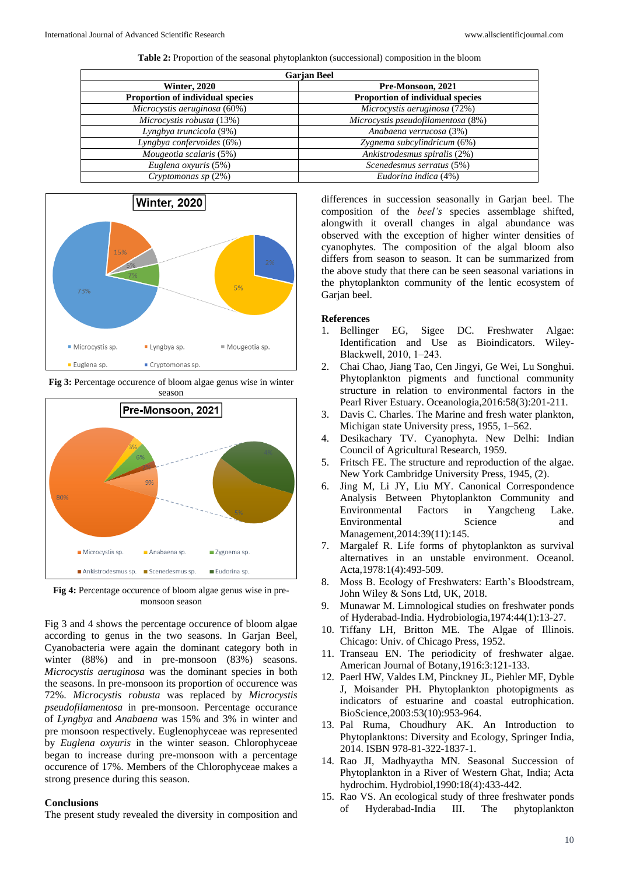**Table 2:** Proportion of the seasonal phytoplankton (successional) composition in the bloom

| <b>Garjan Beel</b>                      |  |  |  |
|-----------------------------------------|--|--|--|
| Pre-Monsoon, 2021                       |  |  |  |
| <b>Proportion of individual species</b> |  |  |  |
| Microcystis aeruginosa (72%)            |  |  |  |
| Microcystis pseudofilamentosa (8%)      |  |  |  |
| Anabaena verrucosa (3%)                 |  |  |  |
| Zygnema subcylindricum (6%)             |  |  |  |
| Ankistrodesmus spiralis (2%)            |  |  |  |
| Scenedesmus serratus (5%)               |  |  |  |
| Eudorina indica (4%)                    |  |  |  |
|                                         |  |  |  |



**Fig 3:** Percentage occurence of bloom algae genus wise in winter



**Fig 4:** Percentage occurence of bloom algae genus wise in premonsoon season

Fig 3 and 4 shows the percentage occurence of bloom algae according to genus in the two seasons. In Garjan Beel, Cyanobacteria were again the dominant category both in winter (88%) and in pre-monsoon (83%) seasons. *Microcystis aeruginosa* was the dominant species in both the seasons. In pre-monsoon its proportion of occurence was 72%. *Microcystis robusta* was replaced by *Microcystis pseudofilamentosa* in pre-monsoon. Percentage occurance of *Lyngbya* and *Anabaena* was 15% and 3% in winter and pre monsoon respectively. Euglenophyceae was represented by *Euglena oxyuris* in the winter season. Chlorophyceae began to increase during pre-monsoon with a percentage occurence of 17%. Members of the Chlorophyceae makes a strong presence during this season.

### **Conclusions**

The present study revealed the diversity in composition and

differences in succession seasonally in Garjan beel. The composition of the *beel's* species assemblage shifted, alongwith it overall changes in algal abundance was observed with the exception of higher winter densities of cyanophytes. The composition of the algal bloom also differs from season to season. It can be summarized from the above study that there can be seen seasonal variations in the phytoplankton community of the lentic ecosystem of Garjan beel.

### **References**

- 1. Bellinger EG, Sigee DC. Freshwater Algae: Identification and Use as Bioindicators. Wiley-Blackwell, 2010, 1‒243.
- 2. Chai Chao, Jiang Tao, Cen Jingyi, Ge Wei, Lu Songhui. Phytoplankton pigments and functional community structure in relation to environmental factors in the Pearl River Estuary. Oceanologia,2016:58(3):201-211.
- 3. Davis C. Charles. The Marine and fresh water plankton, Michigan state University press, 1955, 1–562.
- 4. Desikachary TV. Cyanophyta. New Delhi: Indian Council of Agricultural Research, 1959.
- 5. Fritsch FE. The structure and reproduction of the algae. New York Cambridge University Press, 1945, (2).
- 6. Jing M, Li JY, Liu MY. Canonical Correspondence Analysis Between Phytoplankton Community and Environmental Factors in Yangcheng Lake. Environmental Science and Management,2014:39(11):145.
- 7. Margalef R. Life forms of phytoplankton as survival alternatives in an unstable environment. Oceanol. Acta,1978:1(4):493-509.
- 8. Moss B. Ecology of Freshwaters: Earth's Bloodstream, John Wiley & Sons Ltd, UK, 2018.
- 9. Munawar M. Limnological studies on freshwater ponds of Hyderabad-India. Hydrobiologia,1974:44(1):13-27.
- 10. Tiffany LH, Britton ME. The Algae of Illinois. Chicago: Univ. of Chicago Press, 1952.
- 11. Transeau EN. The periodicity of freshwater algae. American Journal of Botany,1916:3:121-133.
- 12. Paerl HW, Valdes LM, Pinckney JL, Piehler MF, Dyble J, Moisander PH. Phytoplankton photopigments as indicators of estuarine and coastal eutrophication. BioScience,2003:53(10):953-964.
- 13. Pal Ruma, Choudhury AK. An Introduction to Phytoplanktons: Diversity and Ecology, Springer India, 2014. ISBN 978-81-322-1837-1.
- 14. Rao JI, Madhyaytha MN. Seasonal Succession of Phytoplankton in a River of Western Ghat, India; Acta hydrochim. Hydrobiol,1990:18(4):433-442.
- 15. Rao VS. An ecological study of three freshwater ponds of Hyderabad-India III. The phytoplankton